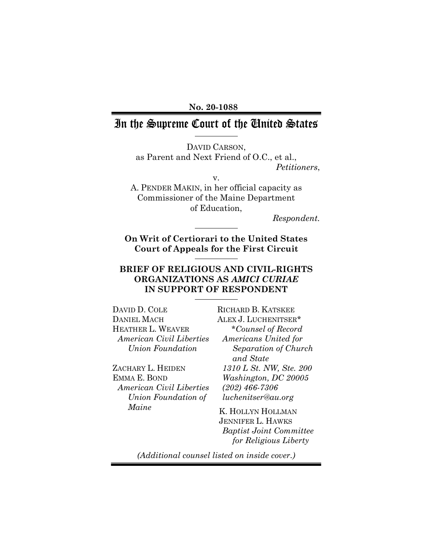No. 20-1088

# In the Supreme Court of the Cinited States

DAVID CARSON, as Parent and Next Friend of O.C., et al., Petitioners,

A. PENDER MAKIN, in her official capacity as Commissioner of the Maine Department of Education,

v.

Respondent.

On Writ of Certiorari to the United States Court of Appeals for the First Circuit

## BRIEF OF RELIGIOUS AND CIVIL-RIGHTS ORGANIZATIONS AS AMICI CURIAE IN SUPPORT OF RESPONDENT

DAVID D. COLE DANIEL MACH HEATHER L. WEAVER American Civil Liberties Union Foundation

ZACHARY L. HEIDEN EMMA E. BOND American Civil Liberties Union Foundation of Maine

RICHARD B. KATSKEE ALEX J. LUCHENITSER\* \*Counsel of Record Americans United for Separation of Church and State 1310 L St. NW, Ste. 200 Washington, DC 20005 (202) 466-7306 luchenitser@au.org

K. HOLLYN HOLLMAN JENNIFER L. HAWKS Baptist Joint Committee for Religious Liberty

(Additional counsel listed on inside cover.)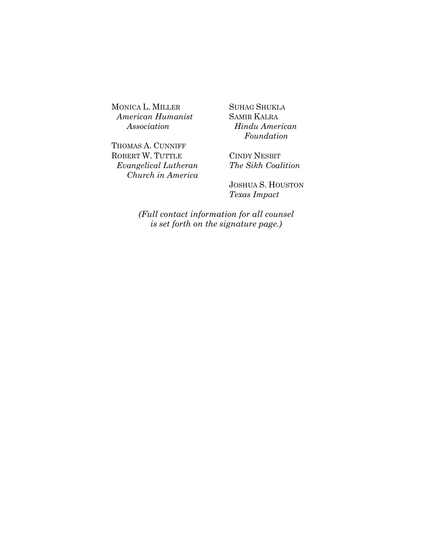MONICA L. MILLER American Humanist Association

THOMAS A. CUNNIFF ROBERT W. TUTTLE Evangelical Lutheran Church in America SUHAG SHUKLA SAMIR KALRA Hindu American Foundation

CINDY NESBIT The Sikh Coalition

JOSHUA S. HOUSTON Texas Impact

(Full contact information for all counsel is set forth on the signature page.)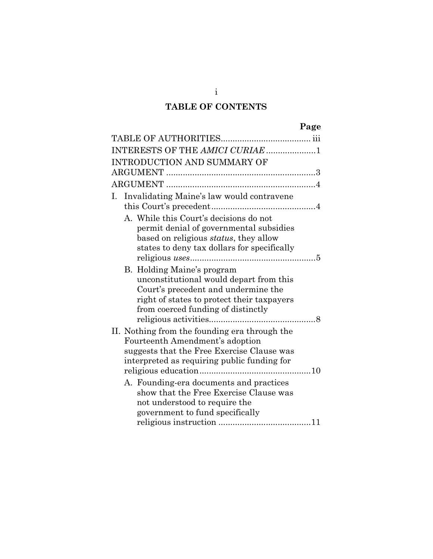# TABLE OF CONTENTS

|    |                                                                                                                                                                                                  | Page |
|----|--------------------------------------------------------------------------------------------------------------------------------------------------------------------------------------------------|------|
|    |                                                                                                                                                                                                  |      |
|    | INTERESTS OF THE AMICI CURIAE 1                                                                                                                                                                  |      |
|    | INTRODUCTION AND SUMMARY OF                                                                                                                                                                      |      |
|    |                                                                                                                                                                                                  |      |
|    |                                                                                                                                                                                                  |      |
| Ι. | Invalidating Maine's law would contravene                                                                                                                                                        |      |
|    | A. While this Court's decisions do not<br>permit denial of governmental subsidies<br>based on religious <i>status</i> , they allow<br>states to deny tax dollars for specifically                |      |
|    | B. Holding Maine's program<br>unconstitutional would depart from this<br>Court's precedent and undermine the<br>right of states to protect their taxpayers<br>from coerced funding of distinctly | . 8  |
|    | II. Nothing from the founding era through the<br>Fourteenth Amendment's adoption<br>suggests that the Free Exercise Clause was<br>interpreted as requiring public funding for                    |      |
|    | A. Founding-era documents and practices<br>show that the Free Exercise Clause was<br>not understood to require the<br>government to fund specifically                                            |      |

i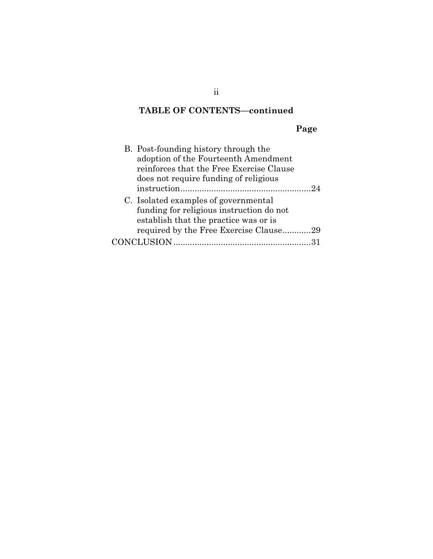# TABLE OF CONTENTS—continued

# Page

| B. Post-founding history through the     |
|------------------------------------------|
| adoption of the Fourteenth Amendment     |
| reinforces that the Free Exercise Clause |
| does not require funding of religious    |
| 2.4                                      |
| C. Isolated examples of governmental     |
| funding for religious instruction do not |
| establish that the practice was or is    |
| required by the Free Exercise Clause29   |
| CONCLUSION                               |

ii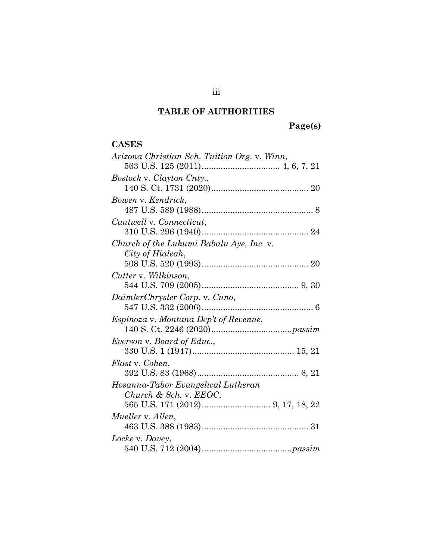# TABLE OF AUTHORITIES

Page(s)

## **CASES**

| Arizona Christian Sch. Tuition Org. v. Winn, |
|----------------------------------------------|
|                                              |
| Bostock v. Clayton Cnty.,                    |
|                                              |
| Bowen v. Kendrick,                           |
|                                              |
| Cantwell v. Connecticut,                     |
|                                              |
| Church of the Lukumi Babalu Aye, Inc. v.     |
| City of Hialeah,                             |
|                                              |
| Cutter v. Wilkinson,                         |
|                                              |
| DaimlerChrysler Corp. v. Cuno,               |
|                                              |
| Espinoza v. Montana Dep't of Revenue,        |
|                                              |
| Everson v. Board of Educ.,                   |
|                                              |
| Flast v. Cohen.                              |
|                                              |
| Hosanna-Tabor Evangelical Lutheran           |
| Church & Sch. v. $EEOC$ ,                    |
|                                              |
| Mueller v. Allen,                            |
|                                              |
| Locke v. Davey,                              |
|                                              |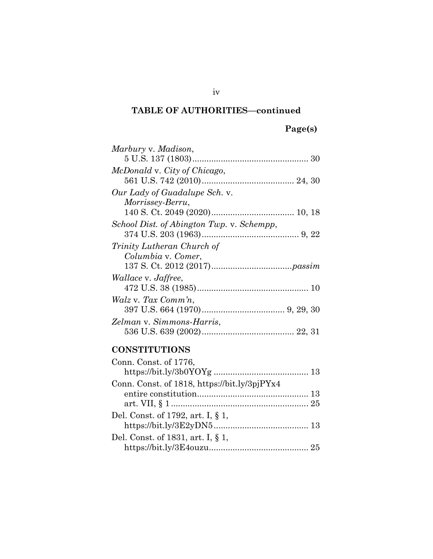# Page(s)

| Marbury v. Madison,                       |  |
|-------------------------------------------|--|
|                                           |  |
| McDonald v. City of Chicago,              |  |
|                                           |  |
| Our Lady of Guadalupe Sch. v.             |  |
| <i>Morrissey-Berru,</i>                   |  |
|                                           |  |
| School Dist. of Abington Twp. v. Schempp, |  |
|                                           |  |
| <i>Trinity Lutheran Church of</i>         |  |
|                                           |  |
| Columbia v. Comer,                        |  |
|                                           |  |
| <i>Wallace v. Jaffree,</i>                |  |
|                                           |  |
| Walz v. Tax Comm'n,                       |  |
|                                           |  |
| Zelman v. Simmons-Harris,                 |  |
|                                           |  |

# **CONSTITUTIONS**

| Conn. Const. of 1776,                        |  |
|----------------------------------------------|--|
|                                              |  |
| Conn. Const. of 1818, https://bit.ly/3pjPYx4 |  |
|                                              |  |
|                                              |  |
| Del. Const. of 1792, art. I, § 1,            |  |
|                                              |  |
| Del. Const. of 1831, art. I, § 1,            |  |
|                                              |  |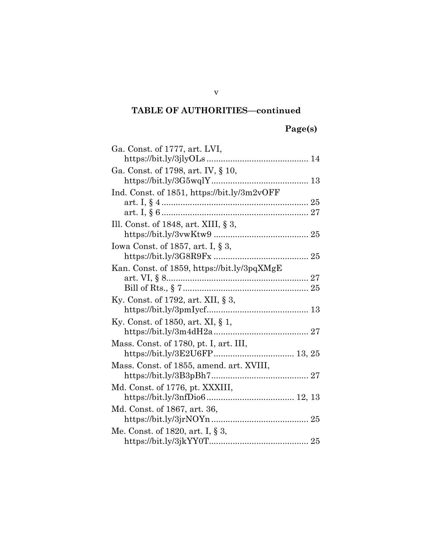# Page(s)

| Ga. Const. of 1777, art. LVI,               |
|---------------------------------------------|
|                                             |
| Ga. Const. of 1798, art. IV, § 10,          |
|                                             |
| Ind. Const. of 1851, https://bit.ly/3m2vOFF |
|                                             |
|                                             |
| Ill. Const. of 1848, art. XIII, $\S 3$ ,    |
|                                             |
| Iowa Const. of 1857, art. I, $\S$ 3,        |
|                                             |
| Kan. Const. of 1859, https://bit.ly/3pqXMgE |
|                                             |
|                                             |
| Ky. Const. of 1792, art. XII, $\S$ 3,       |
|                                             |
| Ky. Const. of 1850, art. XI, $\S$ 1,        |
|                                             |
| Mass. Const. of 1780, pt. I, art. III,      |
|                                             |
| Mass. Const. of 1855, amend. art. XVIII,    |
|                                             |
| Md. Const. of 1776, pt. XXXIII,             |
|                                             |
| Md. Const. of 1867, art. 36,                |
|                                             |
| Me. Const. of 1820, art. I, § 3,            |
|                                             |

v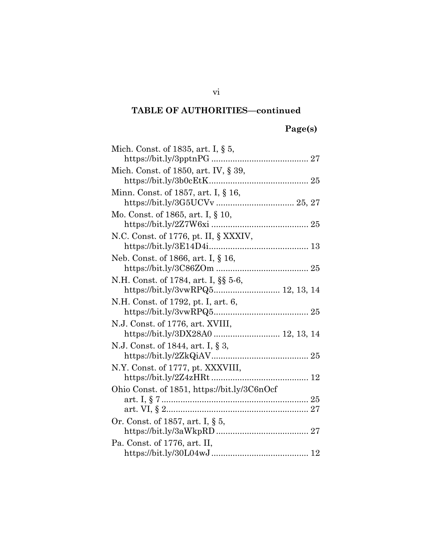# Page(s)

| Mich. Const. of 1835, art. I, $\S$ 5,                                     |
|---------------------------------------------------------------------------|
|                                                                           |
| Mich. Const. of 1850, art. IV, § 39,                                      |
| Minn. Const. of 1857, art. I, § 16,                                       |
|                                                                           |
| Mo. Const. of 1865, art. I, § 10,                                         |
| N.C. Const. of 1776, pt. II, § XXXIV,                                     |
| Neb. Const. of 1866, art. I, § 16,                                        |
| N.H. Const. of 1784, art. I, §§ 5-6,<br>https://bit.ly/3vwRPQ5 12, 13, 14 |
| N.H. Const. of 1792, pt. I, art. 6,                                       |
| N.J. Const. of 1776, art. XVIII,<br>https://bit.ly/3DX28A0  12, 13, 14    |
| N.J. Const. of 1844, art. I, § 3,                                         |
| N.Y. Const. of 1777, pt. XXXVIII,                                         |
| Ohio Const. of 1851, https://bit.ly/3C6nOcf                               |
|                                                                           |
| Or. Const. of 1857, art. I, § 5,                                          |
|                                                                           |
| Pa. Const. of 1776, art. II,                                              |
|                                                                           |

vi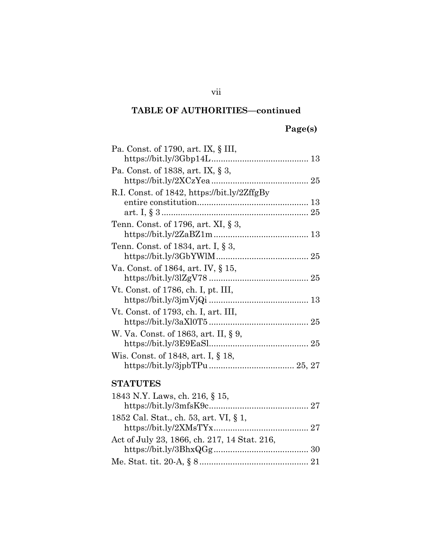# Page(s)

| Pa. Const. of 1790, art. IX, § III,         |
|---------------------------------------------|
| $\frac{https://bit.ly/3Gbp14L13}{$          |
| Pa. Const. of 1838, art. IX, § 3,           |
|                                             |
| R.I. Const. of 1842, https://bit.ly/2ZffgBy |
|                                             |
|                                             |
| Tenn. Const. of 1796, art. XI, § 3,         |
|                                             |
| Tenn. Const. of 1834, art. I, § 3,          |
|                                             |
| Va. Const. of 1864, art. IV, § 15,          |
|                                             |
| Vt. Const. of 1786, ch. I, pt. III,         |
|                                             |
| Vt. Const. of 1793, ch. I, art. III,        |
|                                             |
| W. Va. Const. of 1863, art. II, § 9,        |
|                                             |
| Wis. Const. of 1848, art. I, § 18,          |
|                                             |
|                                             |
| <b>STATUTES</b>                             |
| 1843 N.Y. Laws, ch. 216, § 15,              |
| http://hitly/3mfsK9c<br>27                  |

vii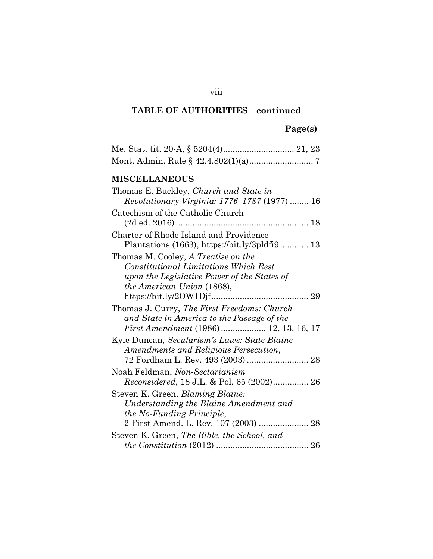# Page(s)

## MISCELLANEOUS

| Thomas E. Buckley, Church and State in              |
|-----------------------------------------------------|
| <i>Revolutionary Virginia: 1776–1787</i> (1977)  16 |
| Catechism of the Catholic Church                    |
|                                                     |
| Charter of Rhode Island and Providence              |
|                                                     |
| Thomas M. Cooley, A Treatise on the                 |
| <b>Constitutional Limitations Which Rest</b>        |
| upon the Legislative Power of the States of         |
| <i>the American Union</i> (1868),                   |
|                                                     |
| Thomas J. Curry, The First Freedoms: Church         |
| and State in America to the Passage of the          |
| <i>First Amendment</i> (1986) 12, 13, 16, 17        |
| Kyle Duncan, Secularism's Laws: State Blaine        |
| Amendments and Religious Persecution,               |
| 72 Fordham L. Rev. 493 (2003)  28                   |
| Noah Feldman, Non-Sectarianism                      |
| Reconsidered, 18 J.L. & Pol. 65 (2002) 26           |
| Steven K. Green, <i>Blaming Blaine</i> :            |
| Understanding the Blaine Amendment and              |
| the No-Funding Principle,                           |
| 2 First Amend. L. Rev. 107 (2003)  28               |
| Steven K. Green, The Bible, the School, and         |
|                                                     |

## viii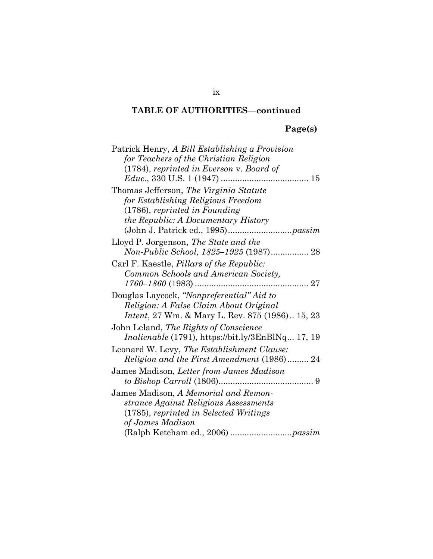# Page(s)

| Patrick Henry, A Bill Establishing a Provision           |
|----------------------------------------------------------|
| for Teachers of the Christian Religion                   |
| $(1784)$ , reprinted in Everson v. Board of              |
|                                                          |
| Thomas Jefferson, The Virginia Statute                   |
| for Establishing Religious Freedom                       |
| $(1786)$ , reprinted in Founding                         |
| the Republic: A Documentary History                      |
|                                                          |
| Lloyd P. Jorgenson, The State and the                    |
| Non-Public School, 1825–1925 (1987) 28                   |
| Carl F. Kaestle, <i>Pillars of the Republic:</i>         |
| Common Schools and American Society,                     |
|                                                          |
| Douglas Laycock, "Nonpreferential" Aid to                |
| Religion: A False Claim About Original                   |
| <i>Intent</i> , 27 Wm. & Mary L. Rev. 875 (1986) 15, 23  |
| John Leland, The Rights of Conscience                    |
| <i>Inalienable</i> (1791), https://bit.ly/3EnBlNq 17, 19 |
| Leonard W. Levy, The Establishment Clause:               |
| Religion and the First Amendment (1986) 24               |
| James Madison, Letter from James Madison                 |
|                                                          |
| James Madison, A Memorial and Remon-                     |
| strance Against Religious Assessments                    |
| (1785), reprinted in Selected Writings                   |
| of James Madison                                         |
|                                                          |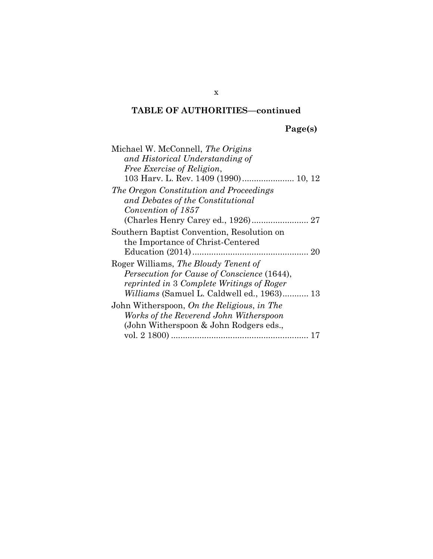Page(s)

| Michael W. McConnell, The Origins                  |
|----------------------------------------------------|
| and Historical Understanding of                    |
| <i>Free Exercise of Religion,</i>                  |
|                                                    |
| The Oregon Constitution and Proceedings            |
| and Debates of the Constitutional                  |
| Convention of 1857                                 |
|                                                    |
| Southern Baptist Convention, Resolution on         |
| the Importance of Christ-Centered                  |
|                                                    |
| Roger Williams, The Bloudy Tenent of               |
| <i>Persecution for Cause of Conscience</i> (1644), |
| reprinted in 3 Complete Writings of Roger          |
| <i>Williams</i> (Samuel L. Caldwell ed., 1963) 13  |
| John Witherspoon, On the Religious, in The         |
| Works of the Reverend John Witherspoon             |
| (John Witherspoon & John Rodgers eds.,             |
|                                                    |

x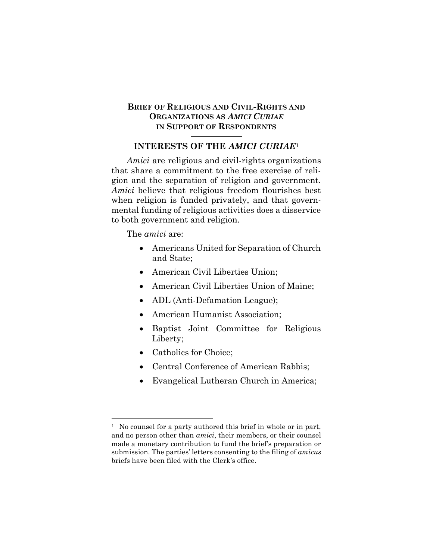### BRIEF OF RELIGIOUS AND CIVIL-RIGHTS AND ORGANIZATIONS AS AMICI CURIAE IN SUPPORT OF RESPONDENTS

### INTERESTS OF THE AMICI CURIAE<sup>1</sup>

Amici are religious and civil-rights organizations that share a commitment to the free exercise of religion and the separation of religion and government. Amici believe that religious freedom flourishes best when religion is funded privately, and that governmental funding of religious activities does a disservice to both government and religion.

The *amici* are:

- Americans United for Separation of Church and State;
- American Civil Liberties Union;
- American Civil Liberties Union of Maine;
- ADL (Anti-Defamation League);
- American Humanist Association;
- Baptist Joint Committee for Religious Liberty;
- Catholics for Choice;
- Central Conference of American Rabbis;
- Evangelical Lutheran Church in America;

<sup>&</sup>lt;sup>1</sup> No counsel for a party authored this brief in whole or in part, and no person other than amici, their members, or their counsel made a monetary contribution to fund the brief's preparation or submission. The parties' letters consenting to the filing of amicus briefs have been filed with the Clerk's office.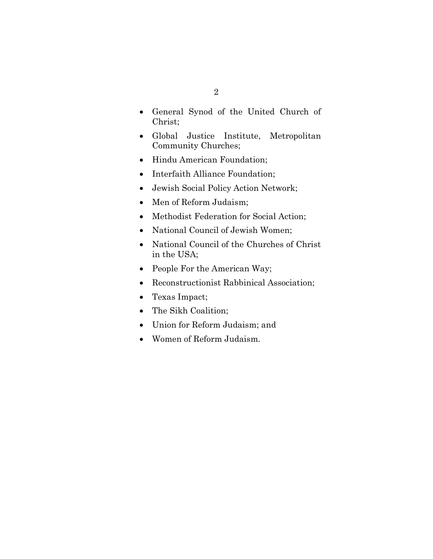- General Synod of the United Church of Christ;
- Global Justice Institute, Metropolitan Community Churches;
- Hindu American Foundation;
- Interfaith Alliance Foundation;
- Jewish Social Policy Action Network;
- Men of Reform Judaism;
- Methodist Federation for Social Action;
- National Council of Jewish Women;
- National Council of the Churches of Christ in the USA;
- People For the American Way;
- Reconstructionist Rabbinical Association;
- Texas Impact;
- The Sikh Coalition;
- Union for Reform Judaism; and
- Women of Reform Judaism.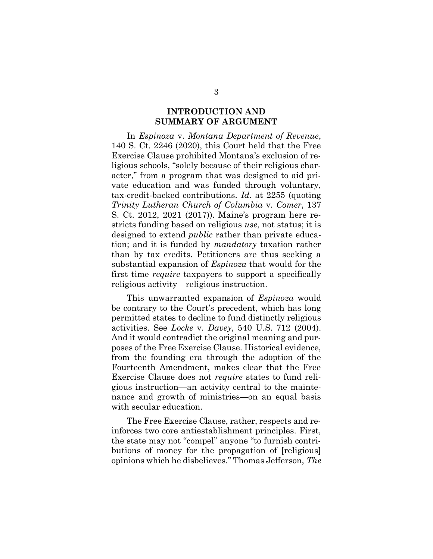### INTRODUCTION AND SUMMARY OF ARGUMENT

In Espinoza v. Montana Department of Revenue, 140 S. Ct. 2246 (2020), this Court held that the Free Exercise Clause prohibited Montana's exclusion of religious schools, "solely because of their religious character," from a program that was designed to aid private education and was funded through voluntary, tax-credit-backed contributions. Id. at 2255 (quoting Trinity Lutheran Church of Columbia v. Comer, 137 S. Ct. 2012, 2021 (2017)). Maine's program here restricts funding based on religious use, not status; it is designed to extend *public* rather than private education; and it is funded by mandatory taxation rather than by tax credits. Petitioners are thus seeking a substantial expansion of Espinoza that would for the first time *require* taxpayers to support a specifically religious activity—religious instruction.

This unwarranted expansion of *Espinoza* would be contrary to the Court's precedent, which has long permitted states to decline to fund distinctly religious activities. See Locke v. Davey, 540 U.S. 712 (2004). And it would contradict the original meaning and purposes of the Free Exercise Clause. Historical evidence, from the founding era through the adoption of the Fourteenth Amendment, makes clear that the Free Exercise Clause does not require states to fund religious instruction—an activity central to the maintenance and growth of ministries—on an equal basis with secular education.

The Free Exercise Clause, rather, respects and reinforces two core antiestablishment principles. First, the state may not "compel" anyone "to furnish contributions of money for the propagation of [religious] opinions which he disbelieves." Thomas Jefferson, The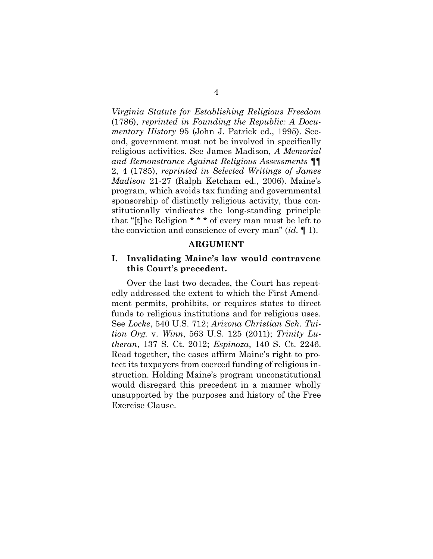Virginia Statute for Establishing Religious Freedom (1786), reprinted in Founding the Republic: A Documentary History 95 (John J. Patrick ed., 1995). Second, government must not be involved in specifically religious activities. See James Madison, A Memorial and Remonstrance Against Religious Assessments ¶¶ 2, 4 (1785), reprinted in Selected Writings of James Madison 21-27 (Ralph Ketcham ed., 2006). Maine's program, which avoids tax funding and governmental sponsorship of distinctly religious activity, thus constitutionally vindicates the long-standing principle that "[t]he Religion \* \* \* of every man must be left to the conviction and conscience of every man"  $(id, \P 1)$ .

### ARGUMENT

### I. Invalidating Maine's law would contravene this Court's precedent.

Over the last two decades, the Court has repeatedly addressed the extent to which the First Amendment permits, prohibits, or requires states to direct funds to religious institutions and for religious uses. See Locke, 540 U.S. 712; Arizona Christian Sch. Tuition Org. v. Winn, 563 U.S. 125 (2011); Trinity Lutheran, 137 S. Ct. 2012; Espinoza, 140 S. Ct. 2246. Read together, the cases affirm Maine's right to protect its taxpayers from coerced funding of religious instruction. Holding Maine's program unconstitutional would disregard this precedent in a manner wholly unsupported by the purposes and history of the Free Exercise Clause.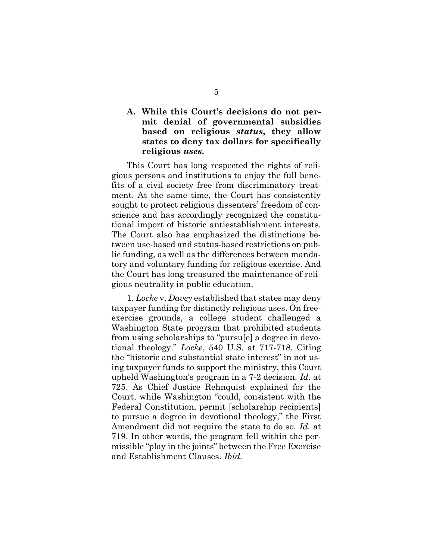### A. While this Court's decisions do not permit denial of governmental subsidies based on religious status, they allow states to deny tax dollars for specifically religious uses.

This Court has long respected the rights of religious persons and institutions to enjoy the full benefits of a civil society free from discriminatory treatment. At the same time, the Court has consistently sought to protect religious dissenters' freedom of conscience and has accordingly recognized the constitutional import of historic antiestablishment interests. The Court also has emphasized the distinctions between use-based and status-based restrictions on public funding, as well as the differences between mandatory and voluntary funding for religious exercise. And the Court has long treasured the maintenance of religious neutrality in public education.

1. Locke v. Davey established that states may deny taxpayer funding for distinctly religious uses. On freeexercise grounds, a college student challenged a Washington State program that prohibited students from using scholarships to "pursu[e] a degree in devotional theology." Locke, 540 U.S. at 717-718. Citing the "historic and substantial state interest" in not using taxpayer funds to support the ministry, this Court upheld Washington's program in a 7-2 decision. Id. at 725. As Chief Justice Rehnquist explained for the Court, while Washington "could, consistent with the Federal Constitution, permit [scholarship recipients] to pursue a degree in devotional theology," the First Amendment did not require the state to do so. Id. at 719. In other words, the program fell within the permissible "play in the joints" between the Free Exercise and Establishment Clauses. Ibid.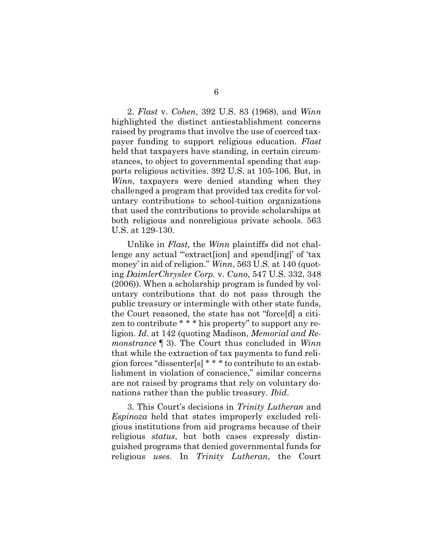2. Flast v. Cohen, 392 U.S. 83 (1968), and Winn highlighted the distinct antiestablishment concerns raised by programs that involve the use of coerced taxpayer funding to support religious education. Flast held that taxpayers have standing, in certain circumstances, to object to governmental spending that supports religious activities. 392 U.S. at 105-106. But, in Winn, taxpayers were denied standing when they challenged a program that provided tax credits for voluntary contributions to school-tuition organizations that used the contributions to provide scholarships at both religious and nonreligious private schools. 563 U.S. at 129-130.

Unlike in Flast, the Winn plaintiffs did not challenge any actual ""extractsion] and spend[ing]' of 'tax money' in aid of religion." Winn, 563 U.S. at 140 (quoting DaimlerChrysler Corp. v. Cuno, 547 U.S. 332, 348 (2006)). When a scholarship program is funded by voluntary contributions that do not pass through the public treasury or intermingle with other state funds, the Court reasoned, the state has not "force[d] a citizen to contribute \* \* \* his property" to support any religion. Id. at 142 (quoting Madison, Memorial and Remonstrance [12]. The Court thus concluded in Winn that while the extraction of tax payments to fund religion forces "dissenter[s] \* \* \* to contribute to an establishment in violation of conscience," similar concerns are not raised by programs that rely on voluntary donations rather than the public treasury. Ibid.

3. This Court's decisions in Trinity Lutheran and Espinoza held that states improperly excluded religious institutions from aid programs because of their religious status, but both cases expressly distinguished programs that denied governmental funds for religious uses. In Trinity Lutheran, the Court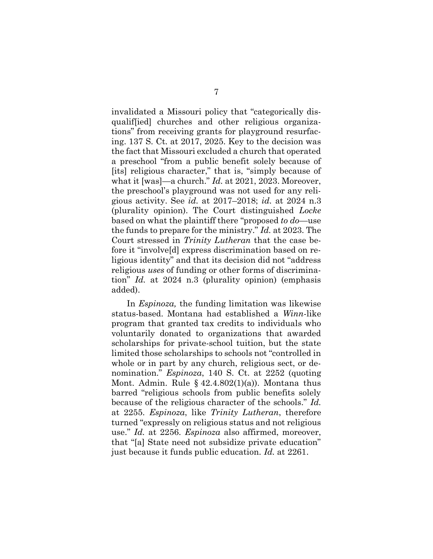invalidated a Missouri policy that "categorically disqualif[ied] churches and other religious organizations" from receiving grants for playground resurfacing. 137 S. Ct. at 2017, 2025. Key to the decision was the fact that Missouri excluded a church that operated a preschool "from a public benefit solely because of [its] religious character," that is, "simply because of what it [was]—a church." Id. at 2021, 2023. Moreover, the preschool's playground was not used for any religious activity. See *id.* at  $2017-2018$ ; *id.* at  $2024$  n.3 (plurality opinion). The Court distinguished Locke based on what the plaintiff there "proposed to do—use the funds to prepare for the ministry." Id. at 2023. The Court stressed in Trinity Lutheran that the case before it "involve[d] express discrimination based on religious identity" and that its decision did not "address religious uses of funding or other forms of discrimination" Id. at 2024 n.3 (plurality opinion) (emphasis added).

In Espinoza, the funding limitation was likewise status-based. Montana had established a Winn-like program that granted tax credits to individuals who voluntarily donated to organizations that awarded scholarships for private-school tuition, but the state limited those scholarships to schools not "controlled in whole or in part by any church, religious sect, or denomination." Espinoza, 140 S. Ct. at 2252 (quoting Mont. Admin. Rule  $\S$  42.4.802(1)(a)). Montana thus barred "religious schools from public benefits solely because of the religious character of the schools." Id. at 2255. Espinoza, like Trinity Lutheran, therefore turned "expressly on religious status and not religious use." Id. at 2256. Espinoza also affirmed, moreover, that "[a] State need not subsidize private education" just because it funds public education. Id. at 2261.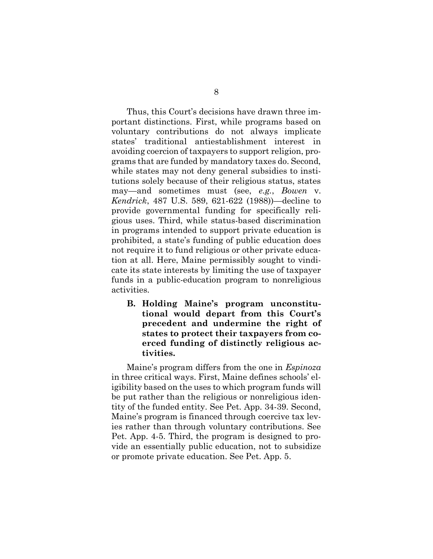Thus, this Court's decisions have drawn three important distinctions. First, while programs based on voluntary contributions do not always implicate states' traditional antiestablishment interest in avoiding coercion of taxpayers to support religion, programs that are funded by mandatory taxes do. Second, while states may not deny general subsidies to institutions solely because of their religious status, states may—and sometimes must (see, e.g., Bowen v. Kendrick, 487 U.S. 589, 621-622 (1988))—decline to provide governmental funding for specifically religious uses. Third, while status-based discrimination in programs intended to support private education is prohibited, a state's funding of public education does not require it to fund religious or other private education at all. Here, Maine permissibly sought to vindicate its state interests by limiting the use of taxpayer funds in a public-education program to nonreligious activities.

B. Holding Maine's program unconstitutional would depart from this Court's precedent and undermine the right of states to protect their taxpayers from coerced funding of distinctly religious activities.

Maine's program differs from the one in *Espinoza* in three critical ways. First, Maine defines schools' eligibility based on the uses to which program funds will be put rather than the religious or nonreligious identity of the funded entity. See Pet. App. 34-39. Second, Maine's program is financed through coercive tax levies rather than through voluntary contributions. See Pet. App. 4-5. Third, the program is designed to provide an essentially public education, not to subsidize or promote private education. See Pet. App. 5.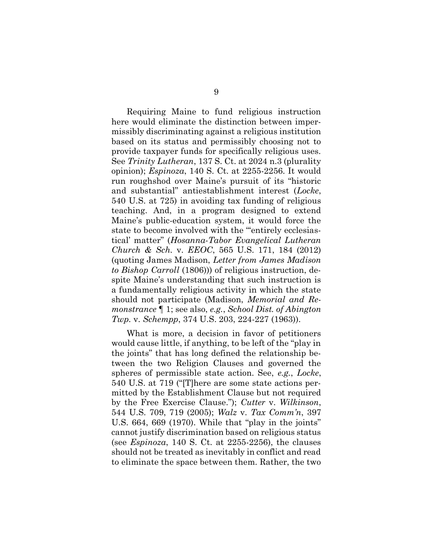Requiring Maine to fund religious instruction here would eliminate the distinction between impermissibly discriminating against a religious institution based on its status and permissibly choosing not to provide taxpayer funds for specifically religious uses. See Trinity Lutheran, 137 S. Ct. at 2024 n.3 (plurality opinion); Espinoza, 140 S. Ct. at 2255-2256. It would run roughshod over Maine's pursuit of its "historic and substantial" antiestablishment interest (Locke, 540 U.S. at 725) in avoiding tax funding of religious teaching. And, in a program designed to extend Maine's public-education system, it would force the state to become involved with the ""entirely ecclesiastical' matter" (Hosanna-Tabor Evangelical Lutheran Church & Sch. v. EEOC, 565 U.S. 171, 184 (2012) (quoting James Madison, Letter from James Madison to Bishop Carroll (1806))) of religious instruction, despite Maine's understanding that such instruction is a fundamentally religious activity in which the state should not participate (Madison, Memorial and Remonstrance ¶ 1; see also, e.g., School Dist. of Abington Twp. v. Schempp, 374 U.S. 203, 224-227 (1963)).

What is more, a decision in favor of petitioners would cause little, if anything, to be left of the "play in the joints" that has long defined the relationship between the two Religion Clauses and governed the spheres of permissible state action. See, e.g., Locke, 540 U.S. at 719 ("[T]here are some state actions permitted by the Establishment Clause but not required by the Free Exercise Clause."); Cutter v. Wilkinson, 544 U.S. 709, 719 (2005); Walz v. Tax Comm'n, 397 U.S. 664, 669 (1970). While that "play in the joints" cannot justify discrimination based on religious status (see Espinoza, 140 S. Ct. at 2255-2256), the clauses should not be treated as inevitably in conflict and read to eliminate the space between them. Rather, the two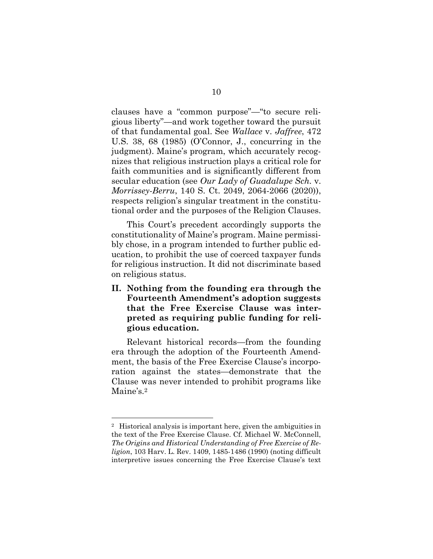clauses have a "common purpose"—"to secure religious liberty"—and work together toward the pursuit of that fundamental goal. See Wallace v. Jaffree, 472 U.S. 38, 68 (1985) (O'Connor, J., concurring in the judgment). Maine's program, which accurately recognizes that religious instruction plays a critical role for faith communities and is significantly different from secular education (see Our Lady of Guadalupe Sch. v. Morrissey-Berru, 140 S. Ct. 2049, 2064-2066 (2020)), respects religion's singular treatment in the constitutional order and the purposes of the Religion Clauses.

This Court's precedent accordingly supports the constitutionality of Maine's program. Maine permissibly chose, in a program intended to further public education, to prohibit the use of coerced taxpayer funds for religious instruction. It did not discriminate based on religious status.

II. Nothing from the founding era through the Fourteenth Amendment's adoption suggests that the Free Exercise Clause was interpreted as requiring public funding for religious education.

Relevant historical records—from the founding era through the adoption of the Fourteenth Amendment, the basis of the Free Exercise Clause's incorporation against the states—demonstrate that the Clause was never intended to prohibit programs like Maine's.<sup>2</sup>

<sup>2</sup> Historical analysis is important here, given the ambiguities in the text of the Free Exercise Clause. Cf. Michael W. McConnell, The Origins and Historical Understanding of Free Exercise of Religion, 103 Harv. L. Rev. 1409, 1485-1486 (1990) (noting difficult interpretive issues concerning the Free Exercise Clause's text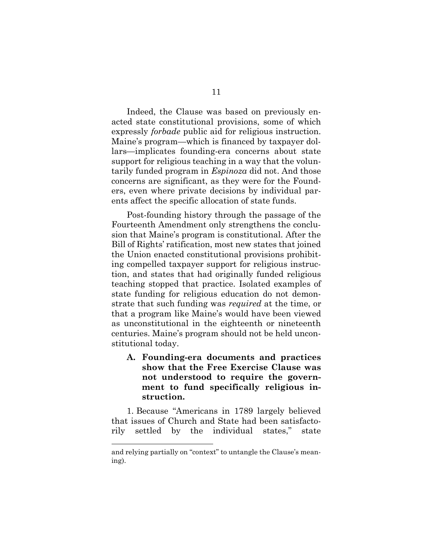Indeed, the Clause was based on previously enacted state constitutional provisions, some of which expressly forbade public aid for religious instruction. Maine's program—which is financed by taxpayer dollars—implicates founding-era concerns about state support for religious teaching in a way that the voluntarily funded program in Espinoza did not. And those concerns are significant, as they were for the Founders, even where private decisions by individual parents affect the specific allocation of state funds.

Post-founding history through the passage of the Fourteenth Amendment only strengthens the conclusion that Maine's program is constitutional. After the Bill of Rights' ratification, most new states that joined the Union enacted constitutional provisions prohibiting compelled taxpayer support for religious instruction, and states that had originally funded religious teaching stopped that practice. Isolated examples of state funding for religious education do not demonstrate that such funding was required at the time, or that a program like Maine's would have been viewed as unconstitutional in the eighteenth or nineteenth centuries. Maine's program should not be held unconstitutional today.

A. Founding-era documents and practices show that the Free Exercise Clause was not understood to require the government to fund specifically religious instruction.

1. Because "Americans in 1789 largely believed that issues of Church and State had been satisfactorily settled by the individual states," state

and relying partially on "context" to untangle the Clause's meaning).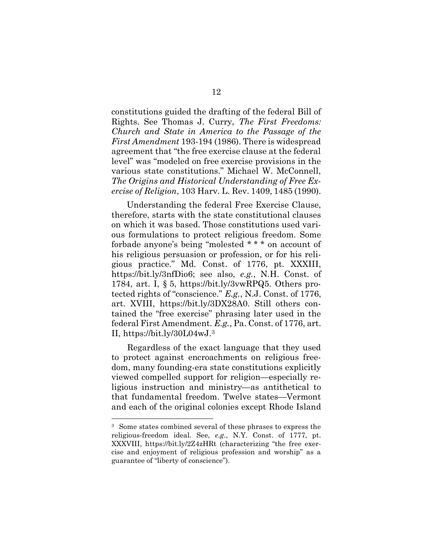constitutions guided the drafting of the federal Bill of Rights. See Thomas J. Curry, The First Freedoms: Church and State in America to the Passage of the First Amendment 193-194 (1986). There is widespread agreement that "the free exercise clause at the federal level" was "modeled on free exercise provisions in the various state constitutions." Michael W. McConnell, The Origins and Historical Understanding of Free Exercise of Religion, 103 Harv. L. Rev. 1409, 1485 (1990).

Understanding the federal Free Exercise Clause, therefore, starts with the state constitutional clauses on which it was based. Those constitutions used various formulations to protect religious freedom. Some forbade anyone's being "molested \* \* \* on account of his religious persuasion or profession, or for his religious practice." Md. Const. of 1776, pt. XXXIII, https://bit.ly/3nfDio6; see also, e.g., N.H. Const. of 1784, art. I, § 5, https://bit.ly/3vwRPQ5. Others protected rights of "conscience." E.g., N.J. Const. of 1776, art. XVIII, https://bit.ly/3DX28A0. Still others contained the "free exercise" phrasing later used in the federal First Amendment. E.g., Pa. Const. of 1776, art. II, https://bit.ly/30L04wJ.<sup>3</sup>

Regardless of the exact language that they used to protect against encroachments on religious freedom, many founding-era state constitutions explicitly viewed compelled support for religion—especially religious instruction and ministry—as antithetical to that fundamental freedom. Twelve states—Vermont and each of the original colonies except Rhode Island

<sup>3</sup> Some states combined several of these phrases to express the religious-freedom ideal. See, e.g., N.Y. Const. of 1777, pt. XXXVIII, https://bit.ly/2Z4zHRt (characterizing "the free exercise and enjoyment of religious profession and worship" as a guarantee of "liberty of conscience").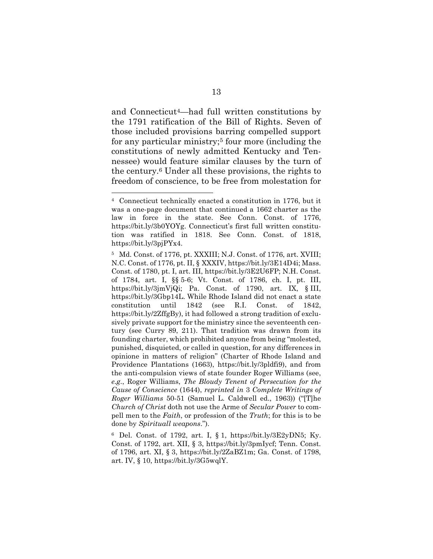and Connecticut4—had full written constitutions by the 1791 ratification of the Bill of Rights. Seven of those included provisions barring compelled support for any particular ministry;<sup>5</sup> four more (including the constitutions of newly admitted Kentucky and Tennessee) would feature similar clauses by the turn of the century.6 Under all these provisions, the rights to freedom of conscience, to be free from molestation for

<sup>4</sup> Connecticut technically enacted a constitution in 1776, but it was a one-page document that continued a 1662 charter as the law in force in the state. See Conn. Const. of 1776, https://bit.ly/3b0YOYg. Connecticut's first full written constitution was ratified in 1818. See Conn. Const. of 1818, https://bit.ly/3pjPYx4.

<sup>5</sup> Md. Const. of 1776, pt. XXXIII; N.J. Const. of 1776, art. XVIII; N.C. Const. of 1776, pt. II, § XXXIV, https://bit.ly/3E14D4i; Mass. Const. of 1780, pt. I, art. III, https://bit.ly/3E2U6FP; N.H. Const. of 1784, art. I, §§ 5-6; Vt. Const. of 1786, ch. I, pt. III, https://bit.ly/3jmVjQi; Pa. Const. of 1790, art. IX, § III, https://bit.ly/3Gbp14L. While Rhode Island did not enact a state constitution until 1842 (see R.I. Const. of 1842, https://bit.ly/2ZffgBy), it had followed a strong tradition of exclusively private support for the ministry since the seventeenth century (see Curry 89, 211). That tradition was drawn from its founding charter, which prohibited anyone from being "molested, punished, disquieted, or called in question, for any differences in opinione in matters of religion" (Charter of Rhode Island and Providence Plantations (1663), https://bit.ly/3pldfi9), and from the anti-compulsion views of state founder Roger Williams (see, e.g., Roger Williams, The Bloudy Tenent of Persecution for the Cause of Conscience (1644), reprinted in 3 Complete Writings of Roger Williams 50-51 (Samuel L. Caldwell ed., 1963)) ("[T]he Church of Christ doth not use the Arme of Secular Power to compell men to the Faith, or profession of the Truth; for this is to be done by Spirituall weapons.").

<sup>6</sup> Del. Const. of 1792, art. I, § 1, https://bit.ly/3E2yDN5; Ky. Const. of 1792, art. XII, § 3, https://bit.ly/3pmIycf; Tenn. Const. of 1796, art. XI, § 3, https://bit.ly/2ZaBZ1m; Ga. Const. of 1798, art. IV, § 10, https://bit.ly/3G5wqlY.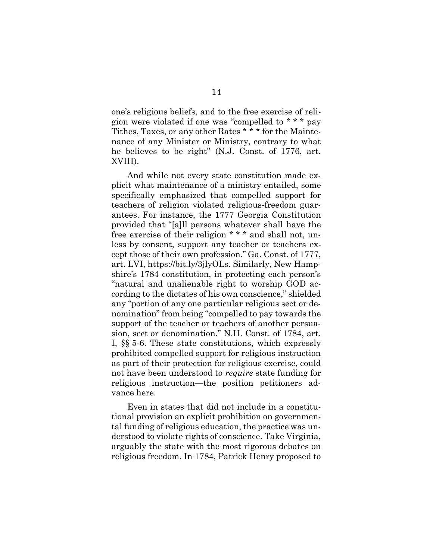one's religious beliefs, and to the free exercise of religion were violated if one was "compelled to \* \* \* pay Tithes, Taxes, or any other Rates \* \* \* for the Maintenance of any Minister or Ministry, contrary to what he believes to be right" (N.J. Const. of 1776, art. XVIII).

And while not every state constitution made explicit what maintenance of a ministry entailed, some specifically emphasized that compelled support for teachers of religion violated religious-freedom guarantees. For instance, the 1777 Georgia Constitution provided that "[a]ll persons whatever shall have the free exercise of their religion \* \* \* and shall not, unless by consent, support any teacher or teachers except those of their own profession." Ga. Const. of 1777, art. LVI, https://bit.ly/3jlyOLs. Similarly, New Hampshire's 1784 constitution, in protecting each person's "natural and unalienable right to worship GOD according to the dictates of his own conscience," shielded any "portion of any one particular religious sect or denomination" from being "compelled to pay towards the support of the teacher or teachers of another persuasion, sect or denomination." N.H. Const. of 1784, art. I, §§ 5-6. These state constitutions, which expressly prohibited compelled support for religious instruction as part of their protection for religious exercise, could not have been understood to require state funding for religious instruction—the position petitioners advance here.

Even in states that did not include in a constitutional provision an explicit prohibition on governmental funding of religious education, the practice was understood to violate rights of conscience. Take Virginia, arguably the state with the most rigorous debates on religious freedom. In 1784, Patrick Henry proposed to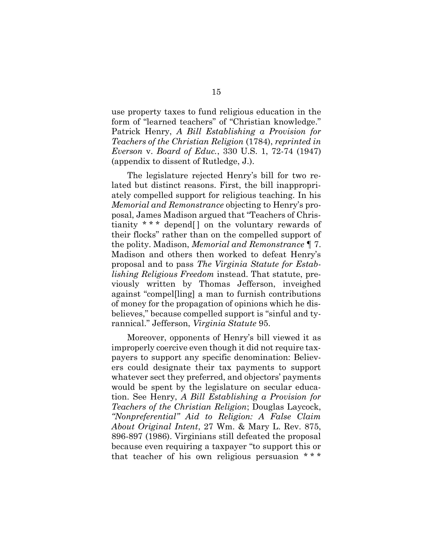use property taxes to fund religious education in the form of "learned teachers" of "Christian knowledge." Patrick Henry, A Bill Establishing a Provision for Teachers of the Christian Religion (1784), reprinted in Everson v. Board of Educ., 330 U.S. 1, 72-74 (1947) (appendix to dissent of Rutledge, J.).

The legislature rejected Henry's bill for two related but distinct reasons. First, the bill inappropriately compelled support for religious teaching. In his Memorial and Remonstrance objecting to Henry's proposal, James Madison argued that "Teachers of Christianity \* \* \* depend[ ] on the voluntary rewards of their flocks" rather than on the compelled support of the polity. Madison, Memorial and Remonstrance ¶ 7. Madison and others then worked to defeat Henry's proposal and to pass The Virginia Statute for Establishing Religious Freedom instead. That statute, previously written by Thomas Jefferson, inveighed against "compel[ling] a man to furnish contributions of money for the propagation of opinions which he disbelieves," because compelled support is "sinful and tyrannical." Jefferson, Virginia Statute 95.

Moreover, opponents of Henry's bill viewed it as improperly coercive even though it did not require taxpayers to support any specific denomination: Believers could designate their tax payments to support whatever sect they preferred, and objectors' payments would be spent by the legislature on secular education. See Henry, A Bill Establishing a Provision for Teachers of the Christian Religion; Douglas Laycock, "Nonpreferential" Aid to Religion: A False Claim About Original Intent, 27 Wm. & Mary L. Rev. 875, 896-897 (1986). Virginians still defeated the proposal because even requiring a taxpayer "to support this or that teacher of his own religious persuasion \*\*\*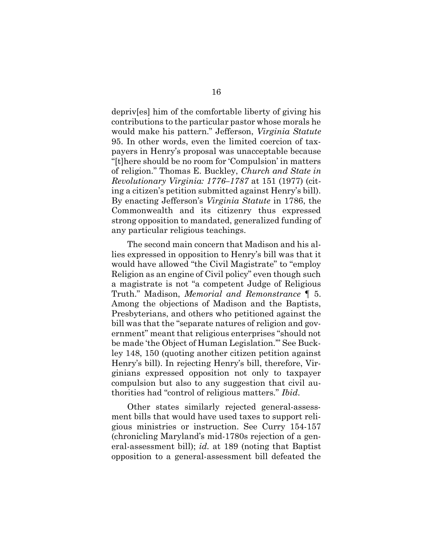depriv[es] him of the comfortable liberty of giving his contributions to the particular pastor whose morals he would make his pattern." Jefferson, Virginia Statute 95. In other words, even the limited coercion of taxpayers in Henry's proposal was unacceptable because "[t]here should be no room for 'Compulsion' in matters of religion." Thomas E. Buckley, Church and State in Revolutionary Virginia: 1776–1787 at 151 (1977) (citing a citizen's petition submitted against Henry's bill). By enacting Jefferson's Virginia Statute in 1786, the Commonwealth and its citizenry thus expressed strong opposition to mandated, generalized funding of any particular religious teachings.

The second main concern that Madison and his allies expressed in opposition to Henry's bill was that it would have allowed "the Civil Magistrate" to "employ Religion as an engine of Civil policy" even though such a magistrate is not "a competent Judge of Religious Truth." Madison, Memorial and Remonstrance ¶ 5. Among the objections of Madison and the Baptists, Presbyterians, and others who petitioned against the bill was that the "separate natures of religion and government" meant that religious enterprises "should not be made 'the Object of Human Legislation.'" See Buckley 148, 150 (quoting another citizen petition against Henry's bill). In rejecting Henry's bill, therefore, Virginians expressed opposition not only to taxpayer compulsion but also to any suggestion that civil authorities had "control of religious matters." Ibid.

Other states similarly rejected general-assessment bills that would have used taxes to support religious ministries or instruction. See Curry 154-157 (chronicling Maryland's mid-1780s rejection of a general-assessment bill); id. at 189 (noting that Baptist opposition to a general-assessment bill defeated the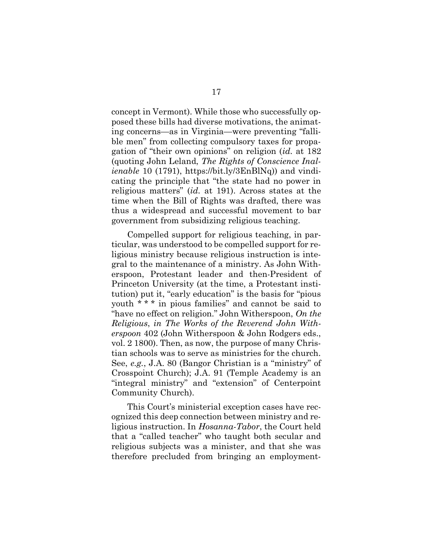concept in Vermont). While those who successfully opposed these bills had diverse motivations, the animating concerns—as in Virginia—were preventing "fallible men" from collecting compulsory taxes for propagation of "their own opinions" on religion (id. at 182 (quoting John Leland, The Rights of Conscience Inalienable 10 (1791), https://bit.ly/3EnBlNq)) and vindicating the principle that "the state had no power in religious matters" (id. at 191). Across states at the time when the Bill of Rights was drafted, there was thus a widespread and successful movement to bar government from subsidizing religious teaching.

Compelled support for religious teaching, in particular, was understood to be compelled support for religious ministry because religious instruction is integral to the maintenance of a ministry. As John Witherspoon, Protestant leader and then-President of Princeton University (at the time, a Protestant institution) put it, "early education" is the basis for "pious youth \* \* \* in pious families" and cannot be said to "have no effect on religion." John Witherspoon, On the Religious, in The Works of the Reverend John Witherspoon 402 (John Witherspoon & John Rodgers eds., vol. 2 1800). Then, as now, the purpose of many Christian schools was to serve as ministries for the church. See, e.g., J.A. 80 (Bangor Christian is a "ministry" of Crosspoint Church); J.A. 91 (Temple Academy is an "integral ministry" and "extension" of Centerpoint Community Church).

This Court's ministerial exception cases have recognized this deep connection between ministry and religious instruction. In Hosanna-Tabor, the Court held that a "called teacher" who taught both secular and religious subjects was a minister, and that she was therefore precluded from bringing an employment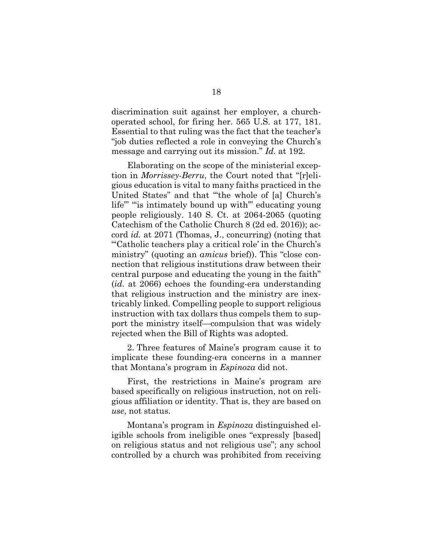discrimination suit against her employer, a churchoperated school, for firing her. 565 U.S. at 177, 181. Essential to that ruling was the fact that the teacher's "job duties reflected a role in conveying the Church's message and carrying out its mission." Id. at 192.

Elaborating on the scope of the ministerial exception in Morrissey-Berru, the Court noted that "[r]eligious education is vital to many faiths practiced in the United States" and that "'the whole of [a] Church's life"" "is intimately bound up with" educating young people religiously. 140 S. Ct. at 2064-2065 (quoting Catechism of the Catholic Church 8 (2d ed. 2016)); accord id. at 2071 (Thomas, J., concurring) (noting that "'Catholic teachers play a critical role' in the Church's ministry" (quoting an amicus brief)). This "close connection that religious institutions draw between their central purpose and educating the young in the faith" (id. at 2066) echoes the founding-era understanding that religious instruction and the ministry are inextricably linked. Compelling people to support religious instruction with tax dollars thus compels them to support the ministry itself—compulsion that was widely rejected when the Bill of Rights was adopted.

2. Three features of Maine's program cause it to implicate these founding-era concerns in a manner that Montana's program in Espinoza did not.

First, the restrictions in Maine's program are based specifically on religious instruction, not on religious affiliation or identity. That is, they are based on use, not status.

Montana's program in Espinoza distinguished eligible schools from ineligible ones "expressly [based] on religious status and not religious use"; any school controlled by a church was prohibited from receiving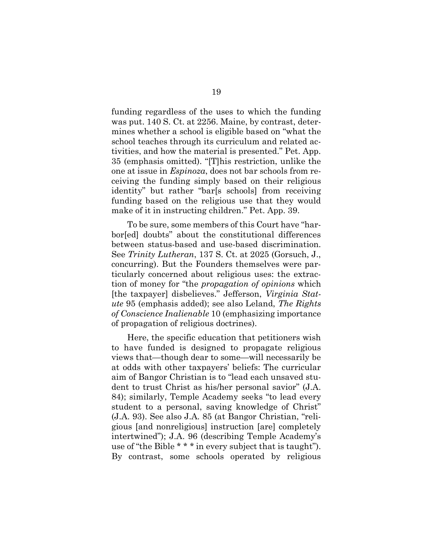funding regardless of the uses to which the funding was put. 140 S. Ct. at 2256. Maine, by contrast, determines whether a school is eligible based on "what the school teaches through its curriculum and related activities, and how the material is presented." Pet. App. 35 (emphasis omitted). "[T]his restriction, unlike the one at issue in Espinoza, does not bar schools from receiving the funding simply based on their religious identity" but rather "bar[s schools] from receiving funding based on the religious use that they would make of it in instructing children." Pet. App. 39.

To be sure, some members of this Court have "harbor[ed] doubts" about the constitutional differences between status-based and use-based discrimination. See Trinity Lutheran, 137 S. Ct. at 2025 (Gorsuch, J., concurring). But the Founders themselves were particularly concerned about religious uses: the extraction of money for "the propagation of opinions which [the taxpayer] disbelieves." Jefferson, Virginia Statute 95 (emphasis added); see also Leland, The Rights of Conscience Inalienable 10 (emphasizing importance of propagation of religious doctrines).

Here, the specific education that petitioners wish to have funded is designed to propagate religious views that—though dear to some—will necessarily be at odds with other taxpayers' beliefs: The curricular aim of Bangor Christian is to "lead each unsaved student to trust Christ as his/her personal savior" (J.A. 84); similarly, Temple Academy seeks "to lead every student to a personal, saving knowledge of Christ" (J.A. 93). See also J.A. 85 (at Bangor Christian, "religious [and nonreligious] instruction [are] completely intertwined"); J.A. 96 (describing Temple Academy's use of "the Bible \* \* \* in every subject that is taught"). By contrast, some schools operated by religious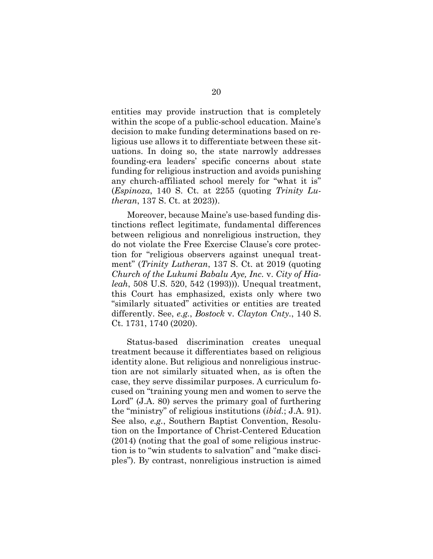entities may provide instruction that is completely within the scope of a public-school education. Maine's decision to make funding determinations based on religious use allows it to differentiate between these situations. In doing so, the state narrowly addresses founding-era leaders' specific concerns about state funding for religious instruction and avoids punishing any church-affiliated school merely for "what it is" (Espinoza, 140 S. Ct. at 2255 (quoting Trinity Lutheran, 137 S. Ct. at 2023)).

Moreover, because Maine's use-based funding distinctions reflect legitimate, fundamental differences between religious and nonreligious instruction, they do not violate the Free Exercise Clause's core protection for "religious observers against unequal treatment" (Trinity Lutheran, 137 S. Ct. at 2019 (quoting Church of the Lukumi Babalu Aye, Inc. v. City of Hialeah, 508 U.S. 520, 542 (1993))). Unequal treatment, this Court has emphasized, exists only where two "similarly situated" activities or entities are treated differently. See, *e.g.*, *Bostock v. Clayton Cnty.*, 140 S. Ct. 1731, 1740 (2020).

Status-based discrimination creates unequal treatment because it differentiates based on religious identity alone. But religious and nonreligious instruction are not similarly situated when, as is often the case, they serve dissimilar purposes. A curriculum focused on "training young men and women to serve the Lord" (J.A. 80) serves the primary goal of furthering the "ministry" of religious institutions (ibid.; J.A. 91). See also, e.g., Southern Baptist Convention, Resolution on the Importance of Christ-Centered Education (2014) (noting that the goal of some religious instruction is to "win students to salvation" and "make disciples"). By contrast, nonreligious instruction is aimed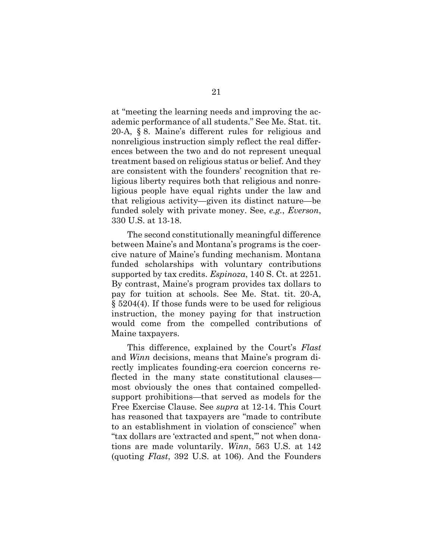at "meeting the learning needs and improving the academic performance of all students." See Me. Stat. tit. 20-A, § 8. Maine's different rules for religious and nonreligious instruction simply reflect the real differences between the two and do not represent unequal treatment based on religious status or belief. And they are consistent with the founders' recognition that religious liberty requires both that religious and nonreligious people have equal rights under the law and that religious activity—given its distinct nature—be funded solely with private money. See, e.g., Everson, 330 U.S. at 13-18.

The second constitutionally meaningful difference between Maine's and Montana's programs is the coercive nature of Maine's funding mechanism. Montana funded scholarships with voluntary contributions supported by tax credits. Espinoza, 140 S. Ct. at 2251. By contrast, Maine's program provides tax dollars to pay for tuition at schools. See Me. Stat. tit. 20-A, § 5204(4). If those funds were to be used for religious instruction, the money paying for that instruction would come from the compelled contributions of Maine taxpayers.

This difference, explained by the Court's Flast and Winn decisions, means that Maine's program directly implicates founding-era coercion concerns reflected in the many state constitutional clauses most obviously the ones that contained compelledsupport prohibitions—that served as models for the Free Exercise Clause. See supra at 12-14. This Court has reasoned that taxpayers are "made to contribute to an establishment in violation of conscience" when "tax dollars are 'extracted and spent,'" not when donations are made voluntarily. Winn, 563 U.S. at 142 (quoting Flast, 392 U.S. at 106). And the Founders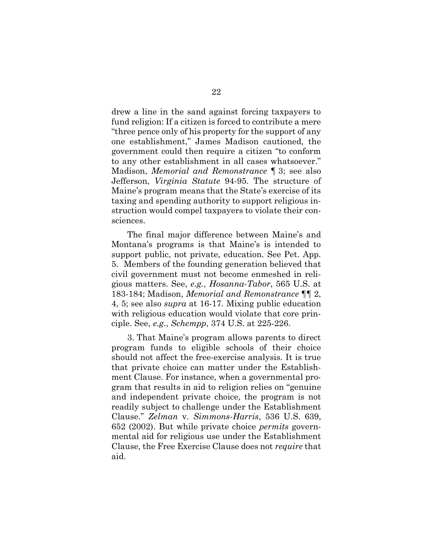drew a line in the sand against forcing taxpayers to fund religion: If a citizen is forced to contribute a mere "three pence only of his property for the support of any one establishment," James Madison cautioned, the government could then require a citizen "to conform to any other establishment in all cases whatsoever." Madison, Memorial and Remonstrance ¶ 3; see also Jefferson, Virginia Statute 94-95. The structure of Maine's program means that the State's exercise of its taxing and spending authority to support religious instruction would compel taxpayers to violate their consciences.

The final major difference between Maine's and Montana's programs is that Maine's is intended to support public, not private, education. See Pet. App. 5. Members of the founding generation believed that civil government must not become enmeshed in religious matters. See, e.g., Hosanna-Tabor, 565 U.S. at 183-184; Madison, Memorial and Remonstrance ¶¶ 2, 4, 5; see also supra at 16-17. Mixing public education with religious education would violate that core principle. See, e.g., Schempp, 374 U.S. at 225-226.

3. That Maine's program allows parents to direct program funds to eligible schools of their choice should not affect the free-exercise analysis. It is true that private choice can matter under the Establishment Clause. For instance, when a governmental program that results in aid to religion relies on "genuine and independent private choice, the program is not readily subject to challenge under the Establishment Clause." Zelman v. Simmons-Harris, 536 U.S. 639, 652 (2002). But while private choice permits governmental aid for religious use under the Establishment Clause, the Free Exercise Clause does not require that aid.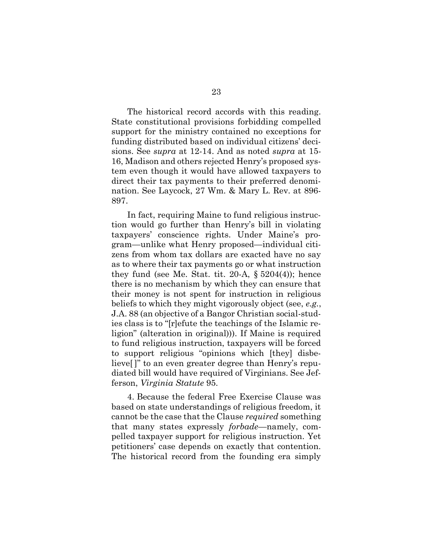The historical record accords with this reading. State constitutional provisions forbidding compelled support for the ministry contained no exceptions for funding distributed based on individual citizens' decisions. See supra at 12-14. And as noted supra at 15- 16, Madison and others rejected Henry's proposed system even though it would have allowed taxpayers to direct their tax payments to their preferred denomination. See Laycock, 27 Wm. & Mary L. Rev. at 896- 897.

In fact, requiring Maine to fund religious instruction would go further than Henry's bill in violating taxpayers' conscience rights. Under Maine's program—unlike what Henry proposed—individual citizens from whom tax dollars are exacted have no say as to where their tax payments go or what instruction they fund (see Me. Stat. tit.  $20-A$ ,  $\S 5204(4)$ ); hence there is no mechanism by which they can ensure that their money is not spent for instruction in religious beliefs to which they might vigorously object (see, e.g., J.A. 88 (an objective of a Bangor Christian social-studies class is to "[r]efute the teachings of the Islamic religion" (alteration in original))). If Maine is required to fund religious instruction, taxpayers will be forced to support religious "opinions which [they] disbelieve[ ]" to an even greater degree than Henry's repudiated bill would have required of Virginians. See Jefferson, Virginia Statute 95.

4. Because the federal Free Exercise Clause was based on state understandings of religious freedom, it cannot be the case that the Clause required something that many states expressly forbade—namely, compelled taxpayer support for religious instruction. Yet petitioners' case depends on exactly that contention. The historical record from the founding era simply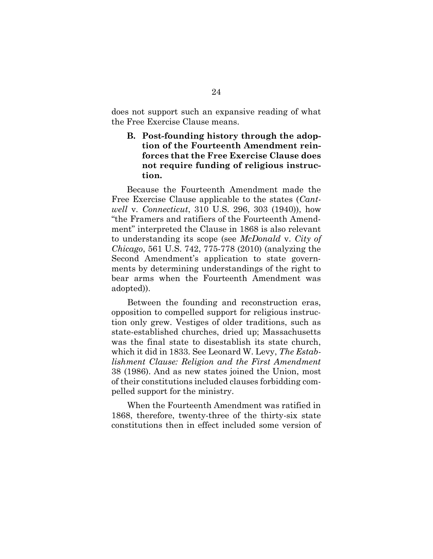does not support such an expansive reading of what the Free Exercise Clause means.

### B. Post-founding history through the adoption of the Fourteenth Amendment reinforces that the Free Exercise Clause does not require funding of religious instruction.

Because the Fourteenth Amendment made the Free Exercise Clause applicable to the states (Cantwell v. Connecticut, 310 U.S. 296, 303 (1940)), how "the Framers and ratifiers of the Fourteenth Amendment" interpreted the Clause in 1868 is also relevant to understanding its scope (see McDonald v. City of Chicago, 561 U.S. 742, 775-778 (2010) (analyzing the Second Amendment's application to state governments by determining understandings of the right to bear arms when the Fourteenth Amendment was adopted)).

Between the founding and reconstruction eras, opposition to compelled support for religious instruction only grew. Vestiges of older traditions, such as state-established churches, dried up; Massachusetts was the final state to disestablish its state church, which it did in 1833. See Leonard W. Levy, The Establishment Clause: Religion and the First Amendment 38 (1986). And as new states joined the Union, most of their constitutions included clauses forbidding compelled support for the ministry.

When the Fourteenth Amendment was ratified in 1868, therefore, twenty-three of the thirty-six state constitutions then in effect included some version of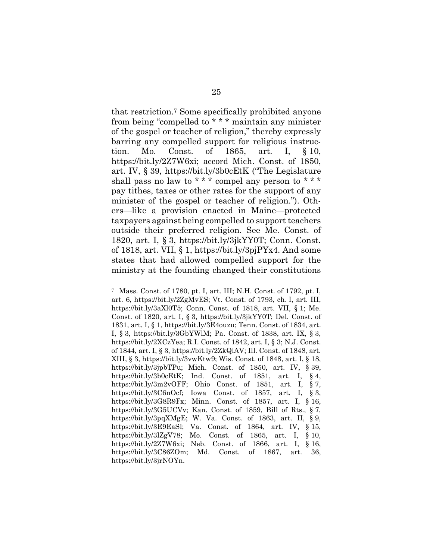that restriction.7 Some specifically prohibited anyone from being "compelled to \* \* \* maintain any minister of the gospel or teacher of religion," thereby expressly barring any compelled support for religious instruction. Mo. Const. of 1865, art. I, § 10, https://bit.ly/2Z7W6xi; accord Mich. Const. of 1850, art. IV, § 39, https://bit.ly/3b0cEtK ("The Legislature shall pass no law to \*\*\* compel any person to \*\*\* pay tithes, taxes or other rates for the support of any minister of the gospel or teacher of religion."). Others—like a provision enacted in Maine—protected taxpayers against being compelled to support teachers outside their preferred religion. See Me. Const. of 1820, art. I, § 3, https://bit.ly/3jkYY0T; Conn. Const. of 1818, art. VII, § 1, https://bit.ly/3pjPYx4. And some states that had allowed compelled support for the ministry at the founding changed their constitutions

<sup>7</sup> Mass. Const. of 1780, pt. I, art. III; N.H. Const. of 1792, pt. I, art. 6, https://bit.ly/2ZgMvES; Vt. Const. of 1793, ch. I, art. III, https://bit.ly/3aXl0T5; Conn. Const. of 1818, art. VII, § 1; Me. Const. of 1820, art. I, § 3, https://bit.ly/3jkYY0T; Del. Const. of 1831, art. I, § 1, https://bit.ly/3E4ouzu; Tenn. Const. of 1834, art. I, § 3, https://bit.ly/3GbYWlM; Pa. Const. of 1838, art. IX, § 3, https://bit.ly/2XCzYea; R.I. Const. of 1842, art. I, § 3; N.J. Const. of 1844, art. I, § 3, https://bit.ly/2ZkQiAV; Ill. Const. of 1848, art. XIII, § 3, https://bit.ly/3vwKtw9; Wis. Const. of 1848, art. I, § 18, https://bit.ly/3jpbTPu; Mich. Const. of 1850, art. IV, § 39, https://bit.ly/3b0cEtK; Ind. Const. of 1851, art. I, § 4, https://bit.ly/3m2vOFF; Ohio Const. of 1851, art. I, § 7, https://bit.ly/3C6nOcf; Iowa Const. of 1857, art. I, § 3, https://bit.ly/3G8R9Fx; Minn. Const. of 1857, art. I, § 16, https://bit.ly/3G5UCVv; Kan. Const. of 1859, Bill of Rts., § 7, https://bit.ly/3pqXMgE; W. Va. Const. of 1863, art. II, § 9, https://bit.ly/3E9EaSl; Va. Const. of 1864, art. IV, § 15, https://bit.ly/3lZgV78; Mo. Const. of 1865, art. I, § 10, https://bit.ly/2Z7W6xi; Neb. Const. of 1866, art. I, § 16, https://bit.ly/3C86ZOm; Md. Const. of 1867, art. 36, https://bit.ly/3jrNOYn.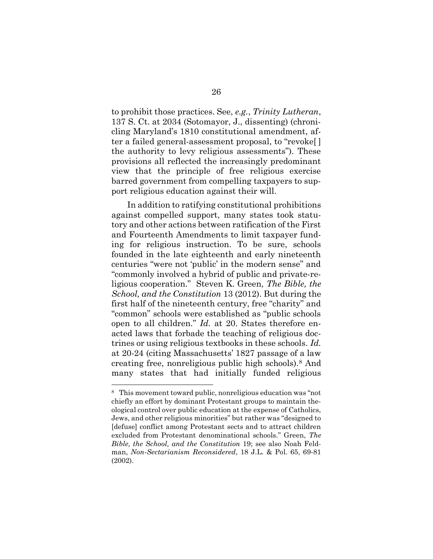to prohibit those practices. See, e.g., Trinity Lutheran, 137 S. Ct. at 2034 (Sotomayor, J., dissenting) (chronicling Maryland's 1810 constitutional amendment, after a failed general-assessment proposal, to "revoke[ ] the authority to levy religious assessments"). These provisions all reflected the increasingly predominant view that the principle of free religious exercise barred government from compelling taxpayers to support religious education against their will.

In addition to ratifying constitutional prohibitions against compelled support, many states took statutory and other actions between ratification of the First and Fourteenth Amendments to limit taxpayer funding for religious instruction. To be sure, schools founded in the late eighteenth and early nineteenth centuries "were not 'public' in the modern sense" and "commonly involved a hybrid of public and private-religious cooperation." Steven K. Green, The Bible, the School, and the Constitution 13 (2012). But during the first half of the nineteenth century, free "charity" and "common" schools were established as "public schools open to all children." Id. at 20. States therefore enacted laws that forbade the teaching of religious doctrines or using religious textbooks in these schools. Id. at 20-24 (citing Massachusetts' 1827 passage of a law creating free, nonreligious public high schools).8 And many states that had initially funded religious

<sup>8</sup> This movement toward public, nonreligious education was "not chiefly an effort by dominant Protestant groups to maintain theological control over public education at the expense of Catholics, Jews, and other religious minorities" but rather was "designed to [defuse] conflict among Protestant sects and to attract children excluded from Protestant denominational schools." Green, The Bible, the School, and the Constitution 19; see also Noah Feldman, Non-Sectarianism Reconsidered, 18 J.L. & Pol. 65, 69-81 (2002).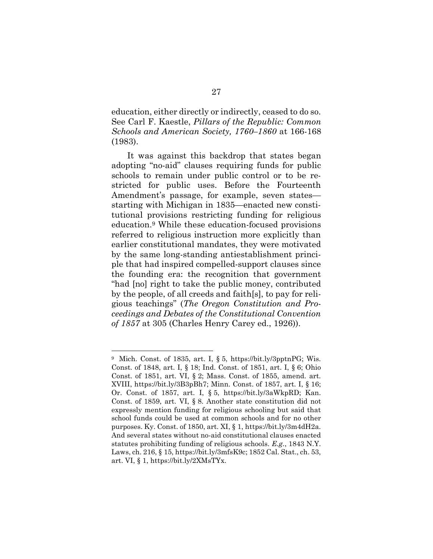education, either directly or indirectly, ceased to do so. See Carl F. Kaestle, Pillars of the Republic: Common Schools and American Society, 1760–1860 at 166-168 (1983).

It was against this backdrop that states began adopting "no-aid" clauses requiring funds for public schools to remain under public control or to be restricted for public uses. Before the Fourteenth Amendment's passage, for example, seven states starting with Michigan in 1835—enacted new constitutional provisions restricting funding for religious education.9 While these education-focused provisions referred to religious instruction more explicitly than earlier constitutional mandates, they were motivated by the same long-standing antiestablishment principle that had inspired compelled-support clauses since the founding era: the recognition that government "had [no] right to take the public money, contributed by the people, of all creeds and faith[s], to pay for religious teachings" (The Oregon Constitution and Proceedings and Debates of the Constitutional Convention of 1857 at 305 (Charles Henry Carey ed., 1926)).

<sup>9</sup> Mich. Const. of 1835, art. I, § 5, https://bit.ly/3pptnPG; Wis. Const. of 1848, art. I, § 18; Ind. Const. of 1851, art. I, § 6; Ohio Const. of 1851, art. VI, § 2; Mass. Const. of 1855, amend. art. XVIII, https://bit.ly/3B3pBh7; Minn. Const. of 1857, art. I, § 16; Or. Const. of 1857, art. I, § 5, https://bit.ly/3aWkpRD; Kan. Const. of 1859, art. VI, § 8. Another state constitution did not expressly mention funding for religious schooling but said that school funds could be used at common schools and for no other purposes. Ky. Const. of 1850, art. XI, § 1, https://bit.ly/3m4dH2a. And several states without no-aid constitutional clauses enacted statutes prohibiting funding of religious schools. E.g., 1843 N.Y. Laws, ch. 216, § 15, https://bit.ly/3mfsK9c; 1852 Cal. Stat., ch. 53, art. VI, § 1, https://bit.ly/2XMsTYx.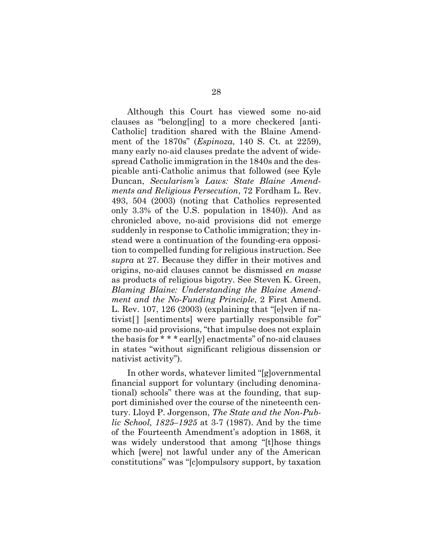Although this Court has viewed some no-aid clauses as "belong[ing] to a more checkered [anti-Catholic] tradition shared with the Blaine Amendment of the 1870s" (Espinoza, 140 S. Ct. at 2259), many early no-aid clauses predate the advent of widespread Catholic immigration in the 1840s and the despicable anti-Catholic animus that followed (see Kyle Duncan, Secularism's Laws: State Blaine Amendments and Religious Persecution, 72 Fordham L. Rev. 493, 504 (2003) (noting that Catholics represented only 3.3% of the U.S. population in 1840)). And as chronicled above, no-aid provisions did not emerge suddenly in response to Catholic immigration; they instead were a continuation of the founding-era opposition to compelled funding for religious instruction. See supra at 27. Because they differ in their motives and origins, no-aid clauses cannot be dismissed en masse as products of religious bigotry. See Steven K. Green, Blaming Blaine: Understanding the Blaine Amendment and the No-Funding Principle, 2 First Amend. L. Rev. 107, 126 (2003) (explaining that "[e]ven if nativist[ ] [sentiments] were partially responsible for" some no-aid provisions, "that impulse does not explain the basis for \* \* \* earl[y] enactments" of no-aid clauses in states "without significant religious dissension or nativist activity").

In other words, whatever limited "[g]overnmental financial support for voluntary (including denominational) schools" there was at the founding, that support diminished over the course of the nineteenth century. Lloyd P. Jorgenson, The State and the Non-Public School, 1825–1925 at 3-7 (1987). And by the time of the Fourteenth Amendment's adoption in 1868, it was widely understood that among "[t]hose things which [were] not lawful under any of the American constitutions" was "[c]ompulsory support, by taxation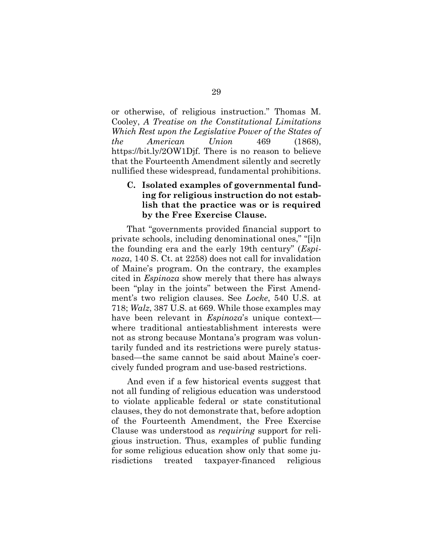or otherwise, of religious instruction." Thomas M. Cooley, A Treatise on the Constitutional Limitations Which Rest upon the Legislative Power of the States of the American Union 469 (1868), https://bit.ly/2OW1Djf. There is no reason to believe that the Fourteenth Amendment silently and secretly nullified these widespread, fundamental prohibitions.

### C. Isolated examples of governmental funding for religious instruction do not establish that the practice was or is required by the Free Exercise Clause.

That "governments provided financial support to private schools, including denominational ones," "[i]n the founding era and the early 19th century" (Espinoza, 140 S. Ct. at 2258) does not call for invalidation of Maine's program. On the contrary, the examples cited in Espinoza show merely that there has always been "play in the joints" between the First Amendment's two religion clauses. See Locke, 540 U.S. at 718; Walz, 387 U.S. at 669. While those examples may have been relevant in *Espinoza*'s unique contextwhere traditional antiestablishment interests were not as strong because Montana's program was voluntarily funded and its restrictions were purely statusbased—the same cannot be said about Maine's coercively funded program and use-based restrictions.

And even if a few historical events suggest that not all funding of religious education was understood to violate applicable federal or state constitutional clauses, they do not demonstrate that, before adoption of the Fourteenth Amendment, the Free Exercise Clause was understood as requiring support for religious instruction. Thus, examples of public funding for some religious education show only that some jurisdictions treated taxpayer-financed religious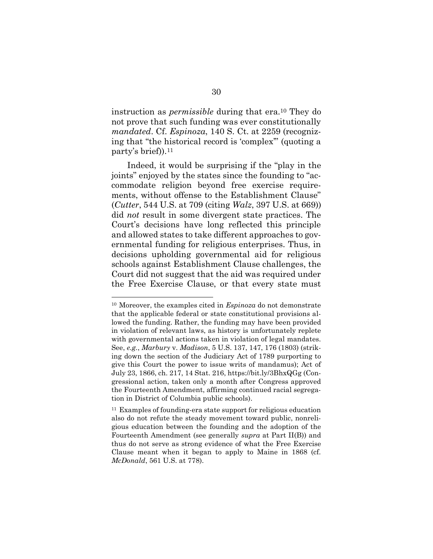instruction as permissible during that era.10 They do not prove that such funding was ever constitutionally mandated. Cf. Espinoza, 140 S. Ct. at 2259 (recognizing that "the historical record is 'complex'" (quoting a party's brief)).<sup>11</sup>

Indeed, it would be surprising if the "play in the joints" enjoyed by the states since the founding to "accommodate religion beyond free exercise requirements, without offense to the Establishment Clause" (Cutter, 544 U.S. at 709 (citing Walz, 397 U.S. at 669)) did not result in some divergent state practices. The Court's decisions have long reflected this principle and allowed states to take different approaches to governmental funding for religious enterprises. Thus, in decisions upholding governmental aid for religious schools against Establishment Clause challenges, the Court did not suggest that the aid was required under the Free Exercise Clause, or that every state must

<sup>&</sup>lt;sup>10</sup> Moreover, the examples cited in  $Espinoza$  do not demonstrate that the applicable federal or state constitutional provisions allowed the funding. Rather, the funding may have been provided in violation of relevant laws, as history is unfortunately replete with governmental actions taken in violation of legal mandates. See, e.g., Marbury v. Madison, 5 U.S. 137, 147, 176 (1803) (striking down the section of the Judiciary Act of 1789 purporting to give this Court the power to issue writs of mandamus); Act of July 23, 1866, ch. 217, 14 Stat. 216, https://bit.ly/3BhxQGg (Congressional action, taken only a month after Congress approved the Fourteenth Amendment, affirming continued racial segregation in District of Columbia public schools).

<sup>11</sup> Examples of founding-era state support for religious education also do not refute the steady movement toward public, nonreligious education between the founding and the adoption of the Fourteenth Amendment (see generally supra at Part II(B)) and thus do not serve as strong evidence of what the Free Exercise Clause meant when it began to apply to Maine in 1868 (cf. McDonald, 561 U.S. at 778).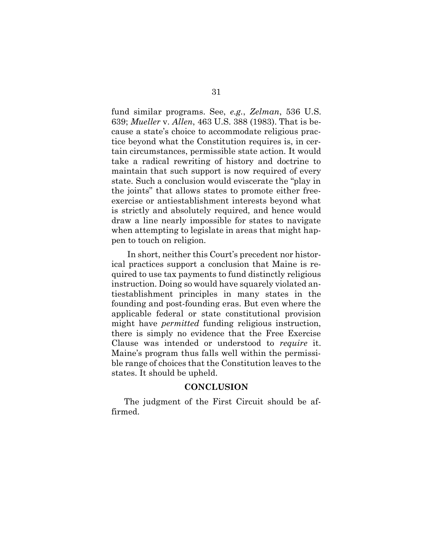fund similar programs. See, e.g., Zelman, 536 U.S. 639; Mueller v. Allen, 463 U.S. 388 (1983). That is because a state's choice to accommodate religious practice beyond what the Constitution requires is, in certain circumstances, permissible state action. It would take a radical rewriting of history and doctrine to maintain that such support is now required of every state. Such a conclusion would eviscerate the "play in the joints" that allows states to promote either freeexercise or antiestablishment interests beyond what is strictly and absolutely required, and hence would draw a line nearly impossible for states to navigate when attempting to legislate in areas that might happen to touch on religion.

In short, neither this Court's precedent nor historical practices support a conclusion that Maine is required to use tax payments to fund distinctly religious instruction. Doing so would have squarely violated antiestablishment principles in many states in the founding and post-founding eras. But even where the applicable federal or state constitutional provision might have permitted funding religious instruction, there is simply no evidence that the Free Exercise Clause was intended or understood to require it. Maine's program thus falls well within the permissible range of choices that the Constitution leaves to the states. It should be upheld.

#### **CONCLUSION**

The judgment of the First Circuit should be affirmed.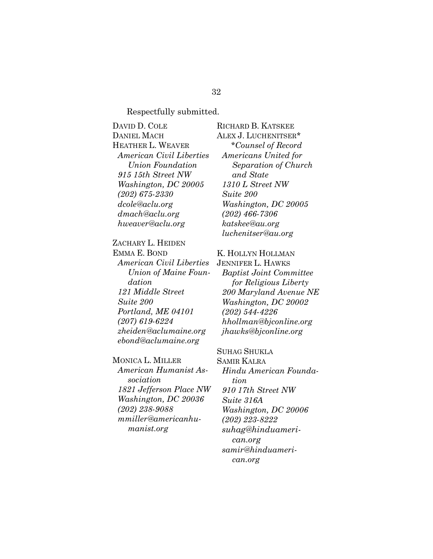### Respectfully submitted.

DAVID D. COLE DANIEL MACH HEATHER L. WEAVER American Civil Liberties Union Foundation 915 15th Street NW Washington, DC 20005 (202) 675-2330 dcole@aclu.org dmach@aclu.org hweaver@aclu.org

### ZACHARY L. HEIDEN

EMMA E. BOND American Civil Liberties Union of Maine Foundation 121 Middle Street Suite 200 Portland, ME 04101 (207) 619-6224 zheiden@aclumaine.org ebond@aclumaine.org

#### MONICA L. MILLER

American Humanist Association 1821 Jefferson Place NW Washington, DC 20036 (202) 238-9088 mmiller@americanhumanist.org

RICHARD B. KATSKEE ALEX J. LUCHENITSER\* \*Counsel of Record Americans United for Separation of Church and State 1310 L Street NW Suite 200 Washington, DC 20005 (202) 466-7306 katskee@au.org luchenitser@au.org

### K. HOLLYN HOLLMAN

JENNIFER L. HAWKS Baptist Joint Committee for Religious Liberty 200 Maryland Avenue NE Washington, DC 20002 (202) 544-4226 hhollman@bjconline.org jhawks@bjconline.org

### SUHAG SHUKLA

SAMIR KALRA Hindu American Foundation 910 17th Street NW Suite 316A Washington, DC 20006 (202) 223-8222 suhag@hinduamerican.org samir@hinduamerican.org

#### 32